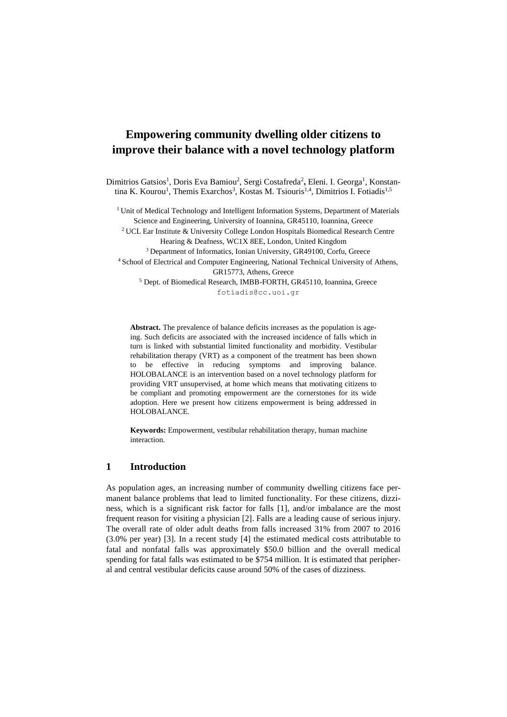# **Empowering community dwelling older citizens to improve their balance with a novel technology platform**

Dimitrios Gatsios<sup>1</sup>, Doris Eva Bamiou<sup>2</sup>, Sergi Costafreda<sup>2</sup>, Eleni. I. Georga<sup>1</sup>, Konstantina K. Kourou<sup>1</sup>, Themis Exarchos<sup>3</sup>, Kostas M. Tsiouris<sup>1,4</sup>, Dimitrios I. Fotiadis<sup>1,5</sup>

<sup>1</sup> Unit of Medical Technology and Intelligent Information Systems, Department of Materials Science and Engineering, University of Ioannina, GR45110, Ioannina, Greece

<sup>2</sup>UCL Ear Institute & University College London Hospitals Biomedical Research Centre Hearing & Deafness, WC1X 8EE, London, United Kingdom

<sup>3</sup> Department of Informatics, Ionian University, GR49100, Corfu, Greece

<sup>4</sup> School of Electrical and Computer Engineering, National Technical University of Athens, GR15773, Athens, Greece

<sup>5</sup> Dept. of Biomedical Research, IMBB-FORTH, GR45110, Ioannina, Greece fotiadis@cc.uoi.gr

**Abstract.** The prevalence of balance deficits increases as the population is ageing. Such deficits are associated with the increased incidence of falls which in turn is linked with substantial limited functionality and morbidity. Vestibular rehabilitation therapy (VRT) as a component of the treatment has been shown to be effective in reducing symptoms and improving balance. HOLOBALANCE is an intervention based on a novel technology platform for providing VRT unsupervised, at home which means that motivating citizens to be compliant and promoting empowerment are the cornerstones for its wide adoption. Here we present how citizens empowerment is being addressed in HOLOBALANCE.

**Keywords:** Empowerment, vestibular rehabilitation therapy, human machine interaction.

## **1 Introduction**

As population ages, an increasing number of community dwelling citizens face permanent balance problems that lead to limited functionality. For these citizens, dizziness, which is a significant risk factor for falls [1], and/or imbalance are the most frequent reason for visiting a physician [2]. Falls are a leading cause of serious injury. The overall rate of older adult deaths from falls increased 31% from 2007 to 2016 (3.0% per year) [3]. In a recent study [4] the estimated medical costs attributable to fatal and nonfatal falls was approximately \$50.0 billion and the overall medical spending for fatal falls was estimated to be \$754 million. It is estimated that peripheral and central vestibular deficits cause around 50% of the cases of dizziness.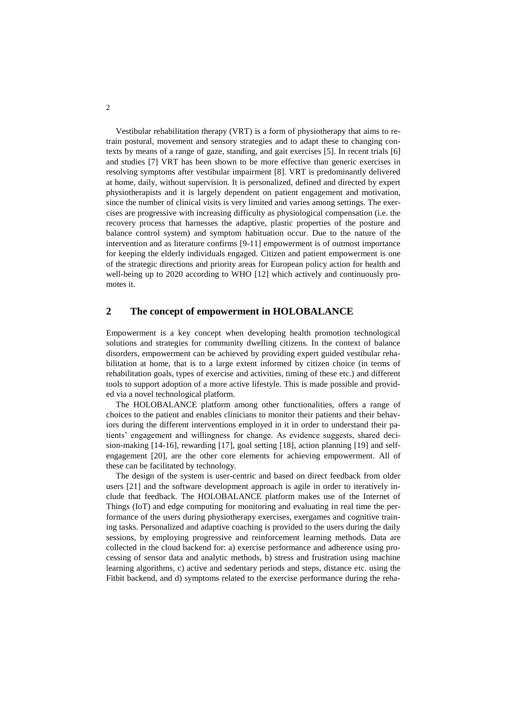Vestibular rehabilitation therapy (VRT) is a form of physiotherapy that aims to retrain postural, movement and sensory strategies and to adapt these to changing contexts by means of a range of gaze, standing, and gait exercises [5]. In recent trials [6] and studies [7] VRT has been shown to be more effective than generic exercises in resolving symptoms after vestibular impairment [8]. VRT is predominantly delivered at home, daily, without supervision. It is personalized, defined and directed by expert physiotherapists and it is largely dependent on patient engagement and motivation, since the number of clinical visits is very limited and varies among settings. The exercises are progressive with increasing difficulty as physiological compensation (i.e. the recovery process that harnesses the adaptive, plastic properties of the posture and balance control system) and symptom habituation occur. Due to the nature of the intervention and as literature confirms [9-11] empowerment is of outmost importance for keeping the elderly individuals engaged. Citizen and patient empowerment is one of the strategic directions and priority areas for European policy action for health and well-being up to 2020 according to WHO [12] which actively and continuously promotes it.

### **2 The concept of empowerment in HOLOBALANCE**

Empowerment is a key concept when developing health promotion technological solutions and strategies for community dwelling citizens. In the context of balance disorders, empowerment can be achieved by providing expert guided vestibular rehabilitation at home, that is to a large extent informed by citizen choice (in terms of rehabilitation goals, types of exercise and activities, timing of these etc.) and different tools to support adoption of a more active lifestyle. This is made possible and provided via a novel technological platform.

The HOLOBALANCE platform among other functionalities, offers a range of choices to the patient and enables clinicians to monitor their patients and their behaviors during the different interventions employed in it in order to understand their patients' engagement and willingness for change. As evidence suggests, shared decision-making [14-16], rewarding [17], goal setting [18], action planning [19] and selfengagement [20], are the other core elements for achieving empowerment. All of these can be facilitated by technology.

The design of the system is user-centric and based on direct feedback from older users [21] and the software development approach is agile in order to iteratively include that feedback. The HOLOBALANCE platform makes use of the Internet of Things (IoT) and edge computing for monitoring and evaluating in real time the performance of the users during physiotherapy exercises, exergames and cognitive training tasks. Personalized and adaptive coaching is provided to the users during the daily sessions, by employing progressive and reinforcement learning methods. Data are collected in the cloud backend for: a) exercise performance and adherence using processing of sensor data and analytic methods, b) stress and frustration using machine learning algorithms, c) active and sedentary periods and steps, distance etc. using the Fitbit backend, and d) symptoms related to the exercise performance during the reha-

2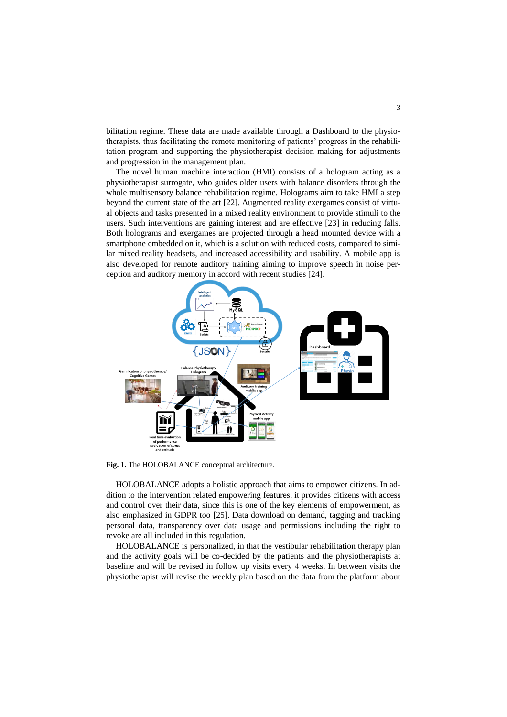bilitation regime. These data are made available through a Dashboard to the physiotherapists, thus facilitating the remote monitoring of patients' progress in the rehabilitation program and supporting the physiotherapist decision making for adjustments and progression in the management plan.

The novel human machine interaction (HMI) consists of a hologram acting as a physiotherapist surrogate, who guides older users with balance disorders through the whole multisensory balance rehabilitation regime. Holograms aim to take HMI a step beyond the current state of the art [22]. Augmented reality exergames consist of virtual objects and tasks presented in a mixed reality environment to provide stimuli to the users. Such interventions are gaining interest and are effective [23] in reducing falls. Both holograms and exergames are projected through a head mounted device with a smartphone embedded on it, which is a solution with reduced costs, compared to similar mixed reality headsets, and increased accessibility and usability. A mobile app is also developed for remote auditory training aiming to improve speech in noise perception and auditory memory in accord with recent studies [24].



**Fig. 1.** The HOLOBALANCE conceptual architecture.

HOLOBALANCE adopts a holistic approach that aims to empower citizens. In addition to the intervention related empowering features, it provides citizens with access and control over their data, since this is one of the key elements of empowerment, as also emphasized in GDPR too [25]. Data download on demand, tagging and tracking personal data, transparency over data usage and permissions including the right to revoke are all included in this regulation.

HOLOBALANCE is personalized, in that the vestibular rehabilitation therapy plan and the activity goals will be co-decided by the patients and the physiotherapists at baseline and will be revised in follow up visits every 4 weeks. In between visits the physiotherapist will revise the weekly plan based on the data from the platform about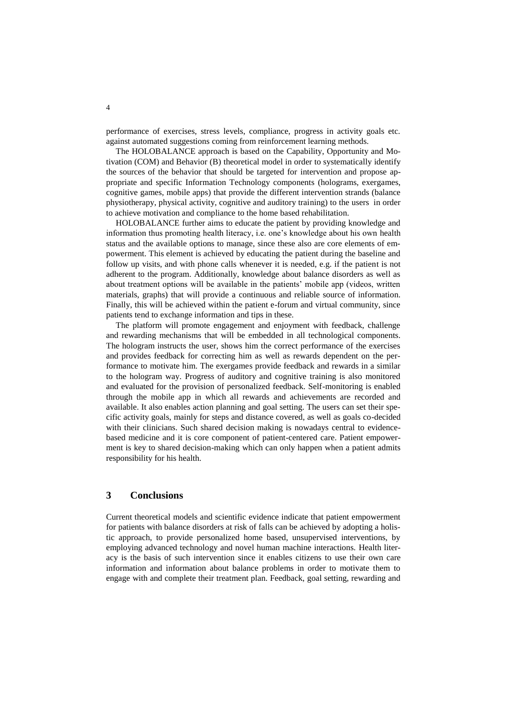performance of exercises, stress levels, compliance, progress in activity goals etc. against automated suggestions coming from reinforcement learning methods.

The HOLOBALANCE approach is based on the Capability, Opportunity and Motivation (COM) and Behavior (B) theoretical model in order to systematically identify the sources of the behavior that should be targeted for intervention and propose appropriate and specific Information Technology components (holograms, exergames, cognitive games, mobile apps) that provide the different intervention strands (balance physiotherapy, physical activity, cognitive and auditory training) to the users in order to achieve motivation and compliance to the home based rehabilitation.

HOLOBALANCE further aims to educate the patient by providing knowledge and information thus promoting health literacy, i.e. one's knowledge about his own health status and the available options to manage, since these also are core elements of empowerment. This element is achieved by educating the patient during the baseline and follow up visits, and with phone calls whenever it is needed, e.g. if the patient is not adherent to the program. Additionally, knowledge about balance disorders as well as about treatment options will be available in the patients' mobile app (videos, written materials, graphs) that will provide a continuous and reliable source of information. Finally, this will be achieved within the patient e-forum and virtual community, since patients tend to exchange information and tips in these.

The platform will promote engagement and enjoyment with feedback, challenge and rewarding mechanisms that will be embedded in all technological components. The hologram instructs the user, shows him the correct performance of the exercises and provides feedback for correcting him as well as rewards dependent on the performance to motivate him. The exergames provide feedback and rewards in a similar to the hologram way. Progress of auditory and cognitive training is also monitored and evaluated for the provision of personalized feedback. Self-monitoring is enabled through the mobile app in which all rewards and achievements are recorded and available. It also enables action planning and goal setting. The users can set their specific activity goals, mainly for steps and distance covered, as well as goals co-decided with their clinicians. Such shared decision making is nowadays central to evidencebased medicine and it is core component of patient-centered care. Patient empowerment is key to shared decision-making which can only happen when a patient admits responsibility for his health.

### **3 Conclusions**

Current theoretical models and scientific evidence indicate that patient empowerment for patients with balance disorders at risk of falls can be achieved by adopting a holistic approach, to provide personalized home based, unsupervised interventions, by employing advanced technology and novel human machine interactions. Health literacy is the basis of such intervention since it enables citizens to use their own care information and information about balance problems in order to motivate them to engage with and complete their treatment plan. Feedback, goal setting, rewarding and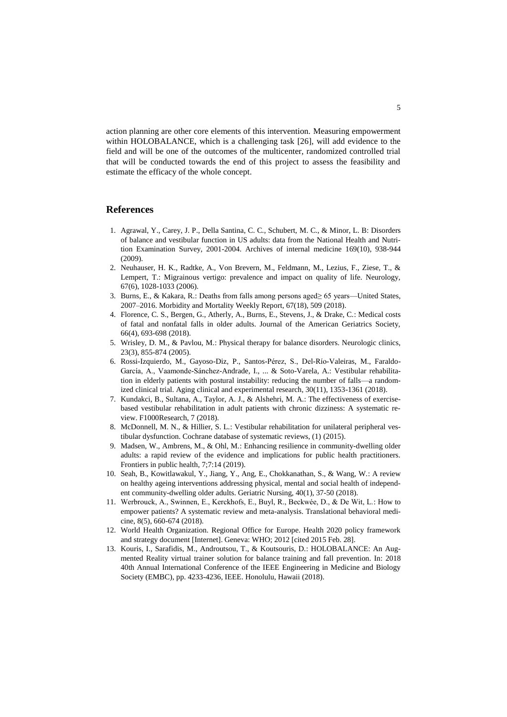action planning are other core elements of this intervention. Measuring empowerment within HOLOBALANCE, which is a challenging task [26], will add evidence to the field and will be one of the outcomes of the multicenter, randomized controlled trial that will be conducted towards the end of this project to assess the feasibility and estimate the efficacy of the whole concept.

#### **References**

- 1. Agrawal, Y., Carey, J. P., Della Santina, C. C., Schubert, M. C., & Minor, L. B: Disorders of balance and vestibular function in US adults: data from the National Health and Nutrition Examination Survey, 2001-2004. Archives of internal medicine 169(10), 938-944 (2009).
- 2. Neuhauser, H. K., Radtke, A., Von Brevern, M., Feldmann, M., Lezius, F., Ziese, T., & Lempert, T.: Migrainous vertigo: prevalence and impact on quality of life. Neurology, 67(6), 1028-1033 (2006).
- 3. Burns, E., & Kakara, R.: Deaths from falls among persons aged≥ 65 years—United States, 2007–2016. Morbidity and Mortality Weekly Report, 67(18), 509 (2018).
- 4. Florence, C. S., Bergen, G., Atherly, A., Burns, E., Stevens, J., & Drake, C.: Medical costs of fatal and nonfatal falls in older adults. Journal of the American Geriatrics Society, 66(4), 693-698 (2018).
- 5. Wrisley, D. M., & Pavlou, M.: Physical therapy for balance disorders. Neurologic clinics, 23(3), 855-874 (2005).
- 6. Rossi-Izquierdo, M., Gayoso-Diz, P., Santos-Pérez, S., Del-Río-Valeiras, M., Faraldo-García, A., Vaamonde-Sánchez-Andrade, I., ... & Soto-Varela, A.: Vestibular rehabilitation in elderly patients with postural instability: reducing the number of falls—a randomized clinical trial. Aging clinical and experimental research, 30(11), 1353-1361 (2018).
- 7. Kundakci, B., Sultana, A., Taylor, A. J., & Alshehri, M. A.: The effectiveness of exercisebased vestibular rehabilitation in adult patients with chronic dizziness: A systematic review. F1000Research, 7 (2018).
- 8. McDonnell, M. N., & Hillier, S. L.: Vestibular rehabilitation for unilateral peripheral vestibular dysfunction. Cochrane database of systematic reviews, (1) (2015).
- 9. Madsen, W., Ambrens, M., & Ohl, M.: Enhancing resilience in community-dwelling older adults: a rapid review of the evidence and implications for public health practitioners. Frontiers in public health, 7;7:14 (2019).
- 10. Seah, B., Kowitlawakul, Y., Jiang, Y., Ang, E., Chokkanathan, S., & Wang, W.: A review on healthy ageing interventions addressing physical, mental and social health of independent community-dwelling older adults. Geriatric Nursing, 40(1), 37-50 (2018).
- 11. Werbrouck, A., Swinnen, E., Kerckhofs, E., Buyl, R., Beckwée, D., & De Wit, L.: How to empower patients? A systematic review and meta-analysis. Translational behavioral medicine, 8(5), 660-674 (2018).
- 12. World Health Organization. Regional Office for Europe. Health 2020 policy framework and strategy document [Internet]. Geneva: WHO; 2012 [cited 2015 Feb. 28].
- 13. Kouris, I., Sarafidis, M., Androutsou, T., & Koutsouris, D.: HOLOBALANCE: An Augmented Reality virtual trainer solution for balance training and fall prevention. In: 2018 40th Annual International Conference of the IEEE Engineering in Medicine and Biology Society (EMBC), pp. 4233-4236, IEEE. Honolulu, Hawaii (2018).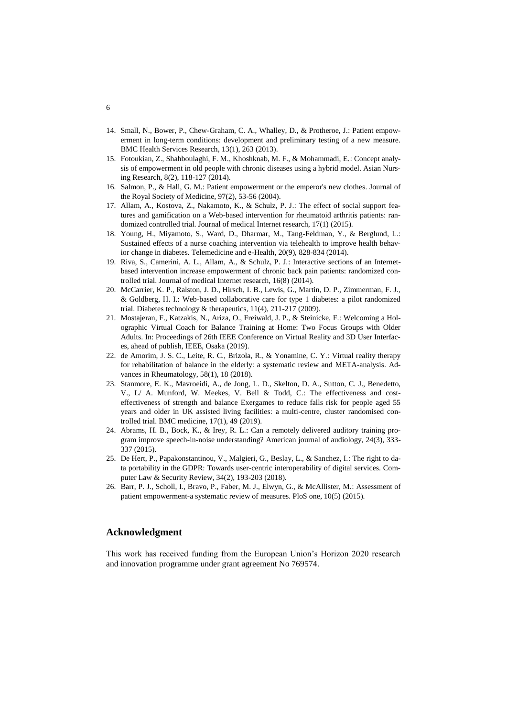- 14. Small, N., Bower, P., Chew-Graham, C. A., Whalley, D., & Protheroe, J.: Patient empowerment in long-term conditions: development and preliminary testing of a new measure. BMC Health Services Research, 13(1), 263 (2013).
- 15. Fotoukian, Z., Shahboulaghi, F. M., Khoshknab, M. F., & Mohammadi, E.: Concept analysis of empowerment in old people with chronic diseases using a hybrid model. Asian Nursing Research, 8(2), 118-127 (2014).
- 16. Salmon, P., & Hall, G. M.: Patient empowerment or the emperor's new clothes. Journal of the Royal Society of Medicine, 97(2), 53-56 (2004).
- 17. Allam, A., Kostova, Z., Nakamoto, K., & Schulz, P. J.: The effect of social support features and gamification on a Web-based intervention for rheumatoid arthritis patients: randomized controlled trial. Journal of medical Internet research, 17(1) (2015).
- 18. Young, H., Miyamoto, S., Ward, D., Dharmar, M., Tang-Feldman, Y., & Berglund, L.: Sustained effects of a nurse coaching intervention via telehealth to improve health behavior change in diabetes. Telemedicine and e-Health, 20(9), 828-834 (2014).
- 19. Riva, S., Camerini, A. L., Allam, A., & Schulz, P. J.: Interactive sections of an Internetbased intervention increase empowerment of chronic back pain patients: randomized controlled trial. Journal of medical Internet research, 16(8) (2014).
- 20. McCarrier, K. P., Ralston, J. D., Hirsch, I. B., Lewis, G., Martin, D. P., Zimmerman, F. J., & Goldberg, H. I.: Web-based collaborative care for type 1 diabetes: a pilot randomized trial. Diabetes technology & therapeutics, 11(4), 211-217 (2009).
- 21. Mostajeran, F., Katzakis, N., Ariza, O., Freiwald, J. P., & Steinicke, F.: Welcoming a Holographic Virtual Coach for Balance Training at Home: Two Focus Groups with Older Adults. In: Proceedings of 26th IEEE Conference on Virtual Reality and 3D User Interfaces, ahead of publish, IEEE, Osaka (2019).
- 22. de Amorim, J. S. C., Leite, R. C., Brizola, R., & Yonamine, C. Y.: Virtual reality therapy for rehabilitation of balance in the elderly: a systematic review and META-analysis. Advances in Rheumatology, 58(1), 18 (2018).
- 23. Stanmore, E. K., Mavroeidi, A., de Jong, L. D., Skelton, D. A., Sutton, C. J., Benedetto, V., L/ A. Munford, W. Meekes, V. Bell & Todd, C.: The effectiveness and costeffectiveness of strength and balance Exergames to reduce falls risk for people aged 55 years and older in UK assisted living facilities: a multi-centre, cluster randomised controlled trial. BMC medicine, 17(1), 49 (2019).
- 24. Abrams, H. B., Bock, K., & Irey, R. L.: Can a remotely delivered auditory training program improve speech-in-noise understanding? American journal of audiology, 24(3), 333- 337 (2015).
- 25. De Hert, P., Papakonstantinou, V., Malgieri, G., Beslay, L., & Sanchez, I.: The right to data portability in the GDPR: Towards user-centric interoperability of digital services. Computer Law & Security Review, 34(2), 193-203 (2018).
- 26. Barr, P. J., Scholl, I., Bravo, P., Faber, M. J., Elwyn, G., & McAllister, M.: Assessment of patient empowerment-a systematic review of measures. PloS one, 10(5) (2015).

#### **Acknowledgment**

This work has received funding from the European Union's Horizon 2020 research and innovation programme under grant agreement No 769574.

#### 6